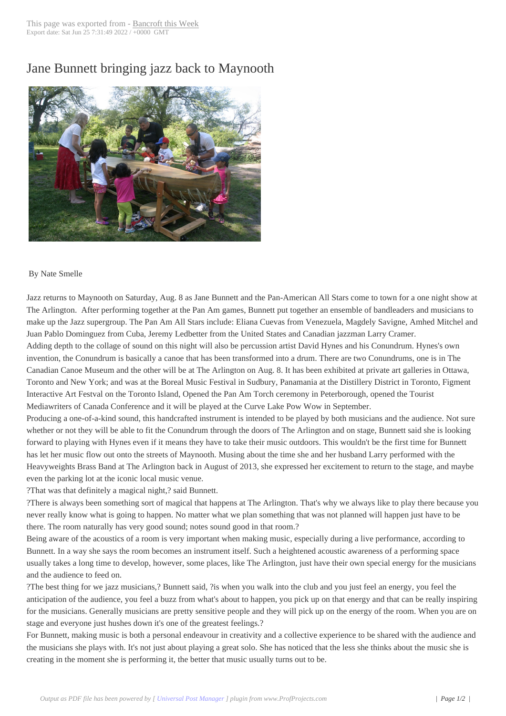## Jane Bunnett bring[ing jazz back](http://www.bancroftthisweek.com/?p=4802) to Maynooth



## By Nate Smelle

Jazz returns to Maynooth on Saturday, Aug. 8 as Jane Bunnett and the Pan-American All Stars come to town for a one night show at The Arlington. After performing together at the Pan Am games, Bunnett put together an ensemble of bandleaders and musicians to make up the Jazz supergroup. The Pan Am All Stars include: Eliana Cuevas from Venezuela, Magdely Savigne, Amhed Mitchel and Juan Pablo Dominguez from Cuba, Jeremy Ledbetter from the United States and Canadian jazzman Larry Cramer. Adding depth to the collage of sound on this night will also be percussion artist David Hynes and his Conundrum. Hynes's own invention, the Conundrum is basically a canoe that has been transformed into a drum. There are two Conundrums, one is in The Canadian Canoe Museum and the other will be at The Arlington on Aug. 8. It has been exhibited at private art galleries in Ottawa, Toronto and New York; and was at the Boreal Music Festival in Sudbury, Panamania at the Distillery District in Toronto, Figment Interactive Art Festval on the Toronto Island, Opened the Pan Am Torch ceremony in Peterborough, opened the Tourist Mediawriters of Canada Conference and it will be played at the Curve Lake Pow Wow in September.

Producing a one-of-a-kind sound, this handcrafted instrument is intended to be played by both musicians and the audience. Not sure whether or not they will be able to fit the Conundrum through the doors of The Arlington and on stage, Bunnett said she is looking forward to playing with Hynes even if it means they have to take their music outdoors. This wouldn't be the first time for Bunnett has let her music flow out onto the streets of Maynooth. Musing about the time she and her husband Larry performed with the Heavyweights Brass Band at The Arlington back in August of 2013, she expressed her excitement to return to the stage, and maybe even the parking lot at the iconic local music venue.

?That was that definitely a magical night,? said Bunnett.

?There is always been something sort of magical that happens at The Arlington. That's why we always like to play there because you never really know what is going to happen. No matter what we plan something that was not planned will happen just have to be there. The room naturally has very good sound; notes sound good in that room.?

Being aware of the acoustics of a room is very important when making music, especially during a live performance, according to Bunnett. In a way she says the room becomes an instrument itself. Such a heightened acoustic awareness of a performing space usually takes a long time to develop, however, some places, like The Arlington, just have their own special energy for the musicians and the audience to feed on.

?The best thing for we jazz musicians,? Bunnett said, ?is when you walk into the club and you just feel an energy, you feel the anticipation of the audience, you feel a buzz from what's about to happen, you pick up on that energy and that can be really inspiring for the musicians. Generally musicians are pretty sensitive people and they will pick up on the energy of the room. When you are on stage and everyone just hushes down it's one of the greatest feelings.?

For Bunnett, making music is both a personal endeavour in creativity and a collective experience to be shared with the audience and the musicians she plays with. It's not just about playing a great solo. She has noticed that the less she thinks about the music she is creating in the moment she is performing it, the better that music usually turns out to be.